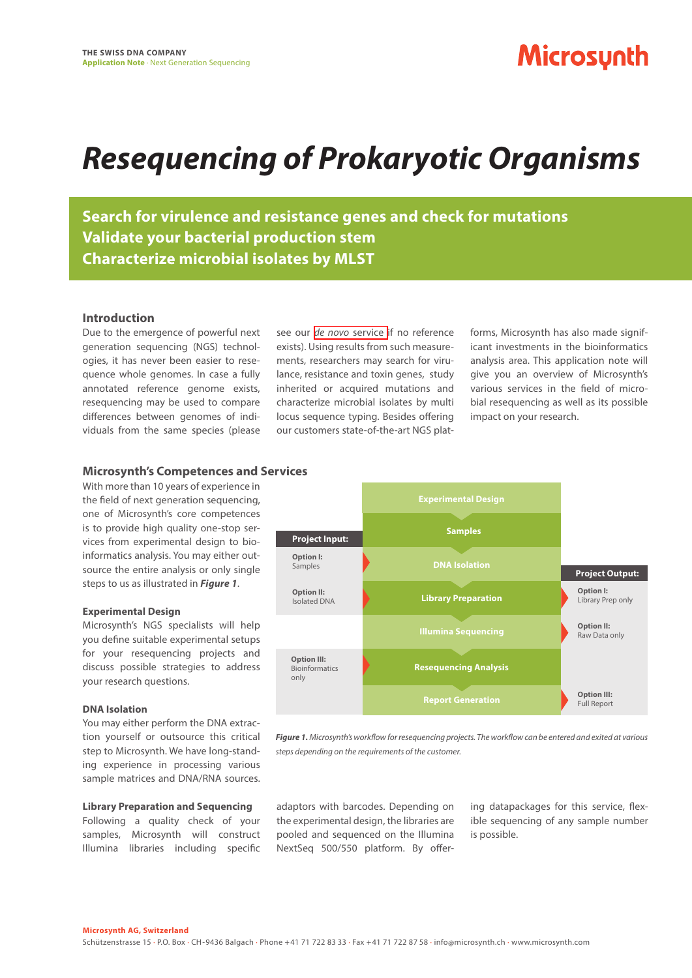# **Microsynth**

# *Resequencing of Prokaryotic Organisms*

**Search for virulence and resistance genes and check for mutations Validate your bacterial production stem Characterize microbial isolates by MLST**

### **Introduction**

Due to the emergence of powerful next generation sequencing (NGS) technologies, it has never been easier to resequence whole genomes. In case a fully annotated reference genome exists, resequencing may be used to compare differences between genomes of individuals from the same species (please

see our *de novo* [service i](https://www.microsynth.com/de-novo-sequencing.html)f no reference exists). Using results from such measurements, researchers may search for virulance, resistance and toxin genes, study inherited or acquired mutations and characterize microbial isolates by multi locus sequence typing. Besides offering our customers state-of-the-art NGS platforms, Microsynth has also made significant investments in the bioinformatics analysis area. This application note will give you an overview of Microsynth's various services in the field of microbial resequencing as well as its possible impact on your research.

#### **Microsynth's Competences and Services**

With more than 10 years of experience in the field of next generation sequencing, one of Microsynth's core competences is to provide high quality one-stop services from experimental design to bioinformatics analysis. You may either outsource the entire analysis or only single steps to us as illustrated in *Figure 1*.

#### **Experimental Design**

Microsynth's NGS specialists will help you define suitable experimental setups for your resequencing projects and discuss possible strategies to address your research questions.

#### **DNA Isolation**

You may either perform the DNA extraction yourself or outsource this critical step to Microsynth. We have long-standing experience in processing various sample matrices and DNA/RNA sources.

#### **Library Preparation and Sequencing**

Following a quality check of your samples, Microsynth will construct Illumina libraries including specific



*Figure 1. Microsynth's workflow for resequencing projects. The workflow can be entered and exited at various steps depending on the requirements of the customer.*

adaptors with barcodes. Depending on the experimental design, the libraries are pooled and sequenced on the Illumina NextSeq 500/550 platform. By offering datapackages for this service, flexible sequencing of any sample number is possible.

**Microsynth AG, Switzerland**